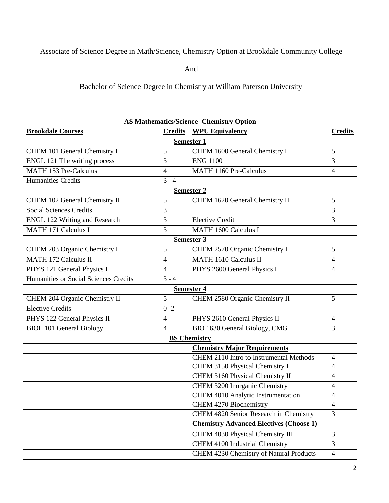## Associate of Science Degree in Math/Science, Chemistry Option at Brookdale Community College

And

Bachelor of Science Degree in Chemistry at William Paterson University

| <b>AS Mathematics/Science- Chemistry Option</b> |                          |                                                |                |  |
|-------------------------------------------------|--------------------------|------------------------------------------------|----------------|--|
| <b>Brookdale Courses</b>                        | <b>Credits</b>           | <b>WPU Equivalency</b>                         | <b>Credits</b> |  |
| Semester 1                                      |                          |                                                |                |  |
| CHEM 101 General Chemistry I                    | 5                        | CHEM 1600 General Chemistry I                  | 5              |  |
| <b>ENGL 121 The writing process</b>             | 3                        | <b>ENG 1100</b>                                | 3              |  |
| <b>MATH 153 Pre-Calculus</b>                    | $\overline{4}$           | MATH 1160 Pre-Calculus                         | 4              |  |
| <b>Humanities Credits</b>                       | $3 - 4$                  |                                                |                |  |
| <b>Semester 2</b>                               |                          |                                                |                |  |
| CHEM 102 General Chemistry II                   | 5                        | CHEM 1620 General Chemistry II                 | 5              |  |
| Social Sciences Credits                         | 3                        |                                                | 3              |  |
| <b>ENGL 122 Writing and Research</b>            | 3                        | <b>Elective Credit</b>                         | 3              |  |
| <b>MATH 171 Calculus I</b>                      | 3                        | <b>MATH 1600 Calculus I</b>                    |                |  |
| <b>Semester 3</b>                               |                          |                                                |                |  |
| CHEM 203 Organic Chemistry I                    | 5                        | CHEM 2570 Organic Chemistry I                  | 5              |  |
| <b>MATH 172 Calculus II</b>                     | $\overline{4}$           | MATH 1610 Calculus II                          | 4              |  |
| PHYS 121 General Physics I                      | $\overline{4}$           | PHYS 2600 General Physics I                    | $\overline{4}$ |  |
| Humanities or Social Sciences Credits           | $3 - 4$                  |                                                |                |  |
| <b>Semester 4</b>                               |                          |                                                |                |  |
| CHEM 204 Organic Chemistry II                   | 5                        | CHEM 2580 Organic Chemistry II                 | 5              |  |
| <b>Elective Credits</b>                         | $0 - 2$                  |                                                |                |  |
| PHYS 122 General Physics II                     | $\overline{4}$           | PHYS 2610 General Physics II                   | $\overline{4}$ |  |
| <b>BIOL 101 General Biology I</b>               | $\overline{\mathcal{A}}$ | BIO 1630 General Biology, CMG                  | 3              |  |
| <b>BS Chemistry</b>                             |                          |                                                |                |  |
|                                                 |                          | <b>Chemistry Major Requirements</b>            |                |  |
|                                                 |                          | CHEM 2110 Intro to Instrumental Methods        | $\overline{4}$ |  |
|                                                 |                          | CHEM 3150 Physical Chemistry I                 | $\overline{4}$ |  |
|                                                 |                          | CHEM 3160 Physical Chemistry II                | $\overline{4}$ |  |
|                                                 |                          | CHEM 3200 Inorganic Chemistry                  | 4              |  |
|                                                 |                          | CHEM 4010 Analytic Instrumentation             | $\overline{4}$ |  |
|                                                 |                          | <b>CHEM 4270 Biochemistry</b>                  | $\overline{4}$ |  |
|                                                 |                          | CHEM 4820 Senior Research in Chemistry         | 3              |  |
|                                                 |                          | <b>Chemistry Advanced Electives (Choose 1)</b> |                |  |
|                                                 |                          | CHEM 4030 Physical Chemistry III               | 3              |  |
|                                                 |                          | <b>CHEM 4100 Industrial Chemistry</b>          | $\overline{3}$ |  |
|                                                 |                          | CHEM 4230 Chemistry of Natural Products        | $\overline{4}$ |  |